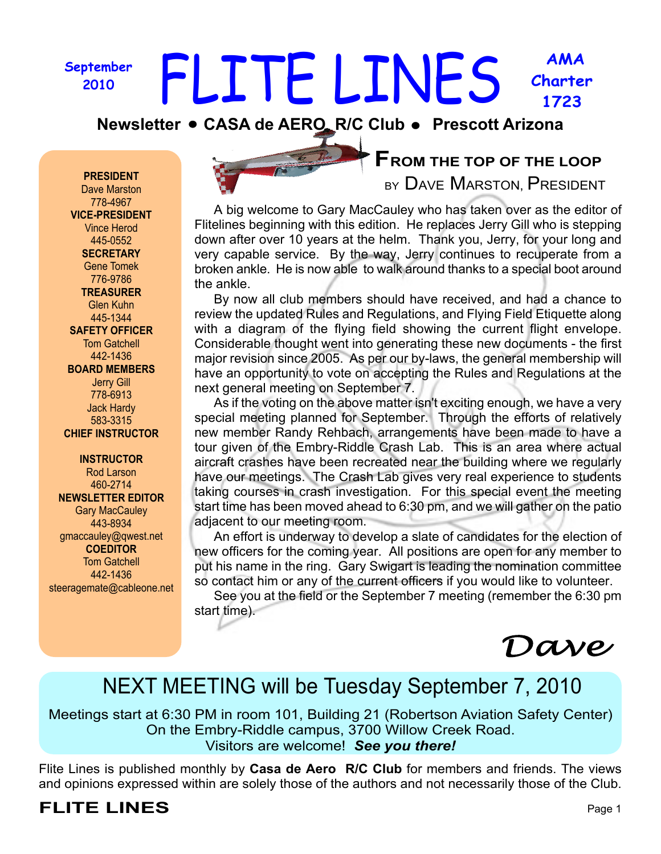#### **September 2010 AMA Charter 1723** FLITE LINES

**Newsletter • CASA de AERO\_R/C Club • Prescott Arizona** 

#### **PRESIDENT**

Dave Marston 778-4967 **VICE-PRESIDENT** Vince Herod 445-0552 **SECRETARY** Gene Tomek 776-9786 **TREASURER** Glen Kuhn 445-1344 **SAFETY OFFICER** Tom Gatchell 442-1436 **BOARD MEMBERS** Jerry Gill 778-6913 Jack Hardy 583-3315 **CHIEF INSTRUCTOR**

**INSTRUCTOR** Rod Larson 460-2714 **NEWSLETTER EDITOR** Gary MacCauley 443-8934 gmaccauley@qwest.net **COEDITOR** Tom Gatchell 442-1436 steeragemate@cableone.net

### **FROM THE TOP OF THE LOOP**

BY DAVE MARSTON, PRESIDENT

 A big welcome to Gary MacCauley who has taken over as the editor of Flitelines beginning with this edition. He replaces Jerry Gill who is stepping down after over 10 years at the helm. Thank you, Jerry, for your long and very capable service. By the way, Jerry continues to recuperate from a broken ankle. He is now able to walk around thanks to a special boot around the ankle.

 By now all club members should have received, and had a chance to review the updated Rules and Regulations, and Flying Field Etiquette along with a diagram of the flying field showing the current flight envelope. Considerable thought went into generating these new documents - the first major revision since 2005. As per our by-laws, the general membership will have an opportunity to vote on accepting the Rules and Regulations at the next general meeting on September 7.

 As if the voting on the above matter isn't exciting enough, we have a very special meeting planned for September. Through the efforts of relatively new member Randy Rehbach, arrangements have been made to have a tour given of the Embry-Riddle Crash Lab. This is an area where actual aircraft crashes have been recreated near the building where we regularly have our meetings. The Crash Lab gives very real experience to students taking courses in crash investigation. For this special event the meeting start time has been moved ahead to 6:30 pm, and we will gather on the patio adjacent to our meeting room.

 An effort is underway to develop a slate of candidates for the election of new officers for the coming year. All positions are open for any member to put his name in the ring. Gary Swigart is leading the nomination committee so contact him or any of the current officers if you would like to volunteer.

 See you at the field or the September 7 meeting (remember the 6:30 pm start time).

Dave

# NEXT MEETING will be Tuesday September 7, 2010

Meetings start at 6:30 PM in room 101, Building 21 (Robertson Aviation Safety Center) On the Embry-Riddle campus, 3700 Willow Creek Road. Visitors are welcome! *See you there!*

Flite Lines is published monthly by **Casa de Aero R/C Club** for members and friends. The views and opinions expressed within are solely those of the authors and not necessarily those of the Club.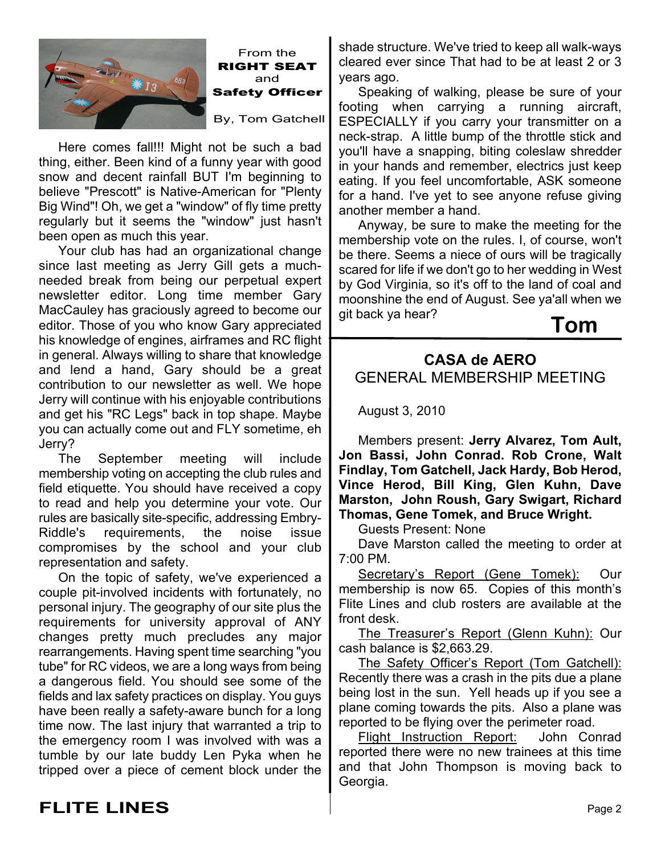

From the **RIGHT SEAT** and **Safety Officer** By, Tom Gatchell

Here comes fall!!! Might not be such a bad thing, either. Been kind of a funny year with good snow and decent rainfall BUT I'm beginning to believe "Prescott" is Native-American for "Plenty Big Wind"! Oh, we get a "window" of fly time pretty regularly but it seems the "window" just hasn't been open as much this year.

 Your club has had an organizational change since last meeting as Jerry Gill gets a muchneeded break from being our perpetual expert newsletter editor. Long time member Gary MacCauley has graciously agreed to become our editor. Those of you who know Gary appreciated his knowledge of engines, airframes and RC flight in general. Always willing to share that knowledge and lend a hand, Gary should be a great contribution to our newsletter as well. We hope Jerry will continue with his enjoyable contributions and get his "RC Legs" back in top shape. Maybe you can actually come out and FLY sometime, eh Jerry?

 The September meeting will include membership voting on accepting the club rules and field etiquette. You should have received a copy to read and help you determine your vote. Our rules are basically site-specific, addressing Embry-Riddle's requirements, the noise issue compromises by the school and your club representation and safety.

 On the topic of safety, we've experienced a couple pit-involved incidents with fortunately, no personal injury. The geography of our site plus the requirements for university approval of ANY changes pretty much precludes any major rearrangements. Having spent time searching "you tube" for RC videos, we are a long ways from being a dangerous field. You should see some of the fields and lax safety practices on display. You guys have been really a safety-aware bunch for a long time now. The last injury that warranted a trip to the emergency room I was involved with was a tumble by our late buddy Len Pyka when he tripped over a piece of cement block under the

shade structure. We've tried to keep all walk-ways cleared ever since That had to be at least 2 or 3 years ago.

 Speaking of walking, please be sure of your footing when carrying a running aircraft, ESPECIALLY if you carry your transmitter on a neck-strap. A little bump of the throttle stick and you'll have a snapping, biting coleslaw shredder in your hands and remember, electrics just keep eating. If you feel uncomfortable, ASK someone for a hand. I've yet to see anyone refuse giving another member a hand.

 Anyway, be sure to make the meeting for the membership vote on the rules. I, of course, won't be there. Seems a niece of ours will be tragically scared for life if we don't go to her wedding in West by God Virginia, so it's off to the land of coal and moonshine the end of August. See ya'all when we git back ya hear?



### **CASA de AERO** GENERAL MEMBERSHIP MEETING

August 3, 2010

 Members present: **Jerry Alvarez, Tom Ault, Jon Bassi, John Conrad. Rob Crone, Walt Findlay, Tom Gatchell, Jack Hardy, Bob Herod, Vince Herod, Bill King, Glen Kuhn, Dave Marston, John Roush, Gary Swigart, Richard Thomas, Gene Tomek, and Bruce Wright.**

Guests Present: None

 Dave Marston called the meeting to order at 7:00 PM.

Secretary's Report (Gene Tomek): Our membership is now 65. Copies of this month's Flite Lines and club rosters are available at the front desk.

The Treasurer's Report (Glenn Kuhn): Our cash balance is \$2,663.29.

The Safety Officer's Report (Tom Gatchell): Recently there was a crash in the pits due a plane being lost in the sun. Yell heads up if you see a plane coming towards the pits. Also a plane was reported to be flying over the perimeter road.

Flight Instruction Report: John Conrad reported there were no new trainees at this time and that John Thompson is moving back to Georgia.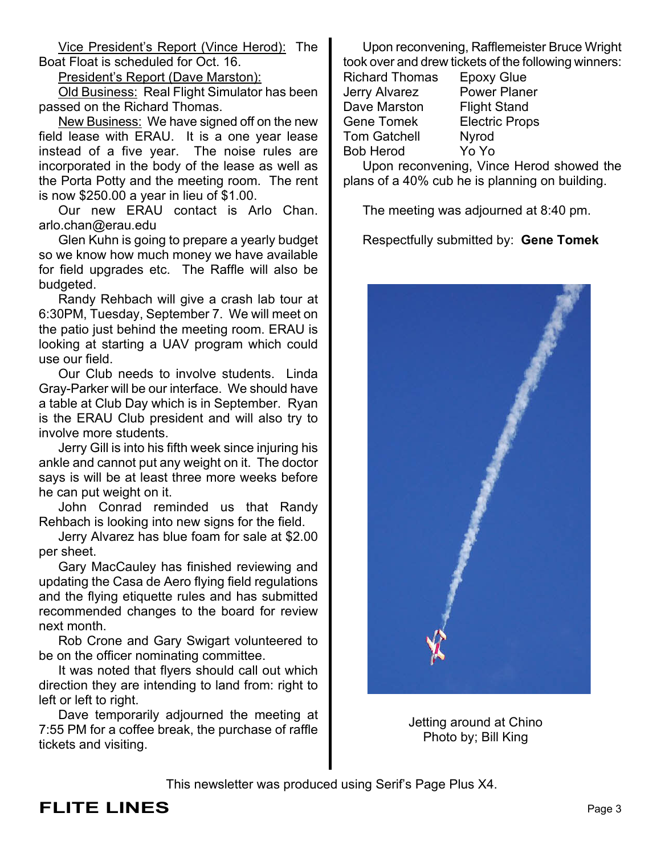Vice President's Report (Vince Herod): The Boat Float is scheduled for Oct. 16.

President's Report (Dave Marston):

Old Business: Real Flight Simulator has been passed on the Richard Thomas.

New Business: We have signed off on the new field lease with ERAU. It is a one year lease instead of a five year. The noise rules are incorporated in the body of the lease as well as the Porta Potty and the meeting room. The rent is now \$250.00 a year in lieu of \$1.00.

 Our new ERAU contact is Arlo Chan. arlo.chan@erau.edu

 Glen Kuhn is going to prepare a yearly budget so we know how much money we have available for field upgrades etc. The Raffle will also be budgeted.

 Randy Rehbach will give a crash lab tour at 6:30PM, Tuesday, September 7. We will meet on the patio just behind the meeting room. ERAU is looking at starting a UAV program which could use our field.

 Our Club needs to involve students. Linda Gray-Parker will be our interface. We should have a table at Club Day which is in September. Ryan is the ERAU Club president and will also try to involve more students.

 Jerry Gill is into his fifth week since injuring his ankle and cannot put any weight on it. The doctor says is will be at least three more weeks before he can put weight on it.

 John Conrad reminded us that Randy Rehbach is looking into new signs for the field.

 Jerry Alvarez has blue foam for sale at \$2.00 per sheet.

 Gary MacCauley has finished reviewing and updating the Casa de Aero flying field regulations and the flying etiquette rules and has submitted recommended changes to the board for review next month.

 Rob Crone and Gary Swigart volunteered to be on the officer nominating committee.

 It was noted that flyers should call out which direction they are intending to land from: right to left or left to right.

 Dave temporarily adjourned the meeting at 7:55 PM for a coffee break, the purchase of raffle tickets and visiting.

 Upon reconvening, Rafflemeister Bruce Wright took over and drew tickets of the following winners:

Richard Thomas Epoxy Glue Jerry Alvarez Power Planer Dave Marston Flight Stand Gene Tomek Electric Props Tom Gatchell Nyrod Bob Herod Yo Yo

 Upon reconvening, Vince Herod showed the plans of a 40% cub he is planning on building.

The meeting was adjourned at 8:40 pm.

Respectfully submitted by: **Gene Tomek**



Jetting around at Chino Photo by; Bill King

This newsletter was produced using Serif's Page Plus X4.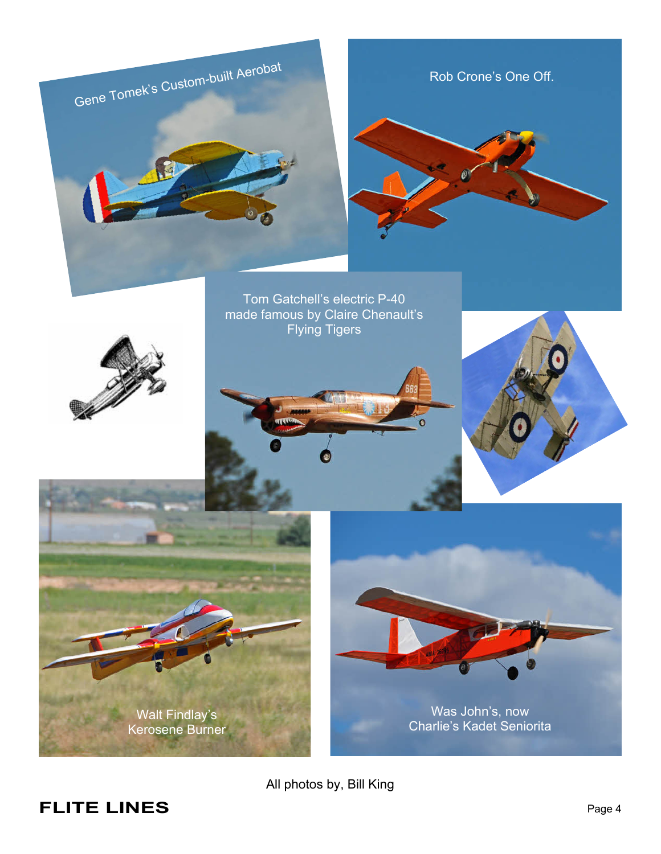

All photos by, Bill King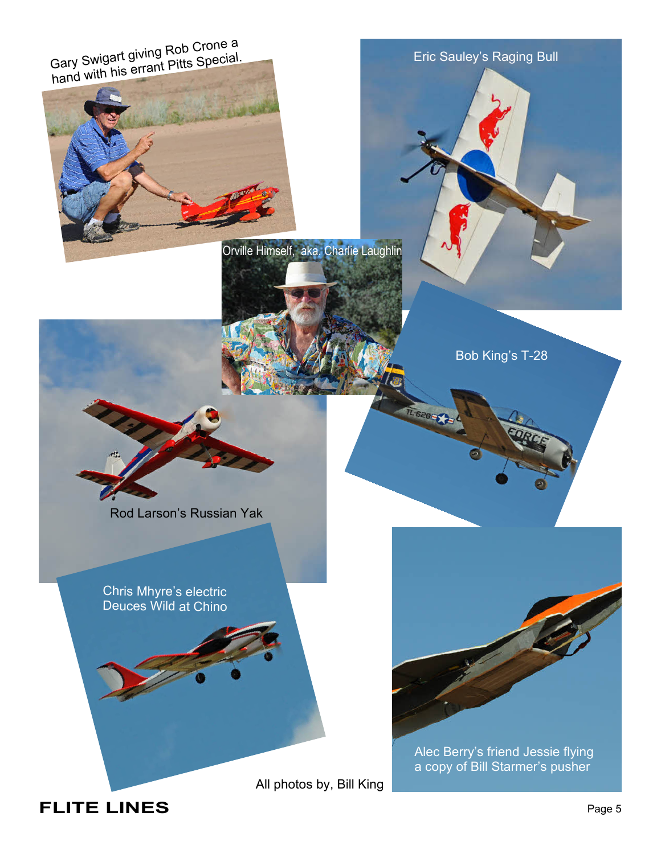Gary Swigart giving Rob Crone a<br>Gary Swigart giving Pitts Special Gary Swigart giving rest Special.<br>hand with his errant Pitts Special.



Eric Sauley's Raging Bull

Orville Himself, aka. Charlie Laughlin

Bob King's T-28

1-6285

Rod Larson's Russian Yak

Chris Mhyre's electric Deuces Wild at Chino

All photos by, Bill King



Alec Berry's friend Jessie flying a copy of Bill Starmer's pusher